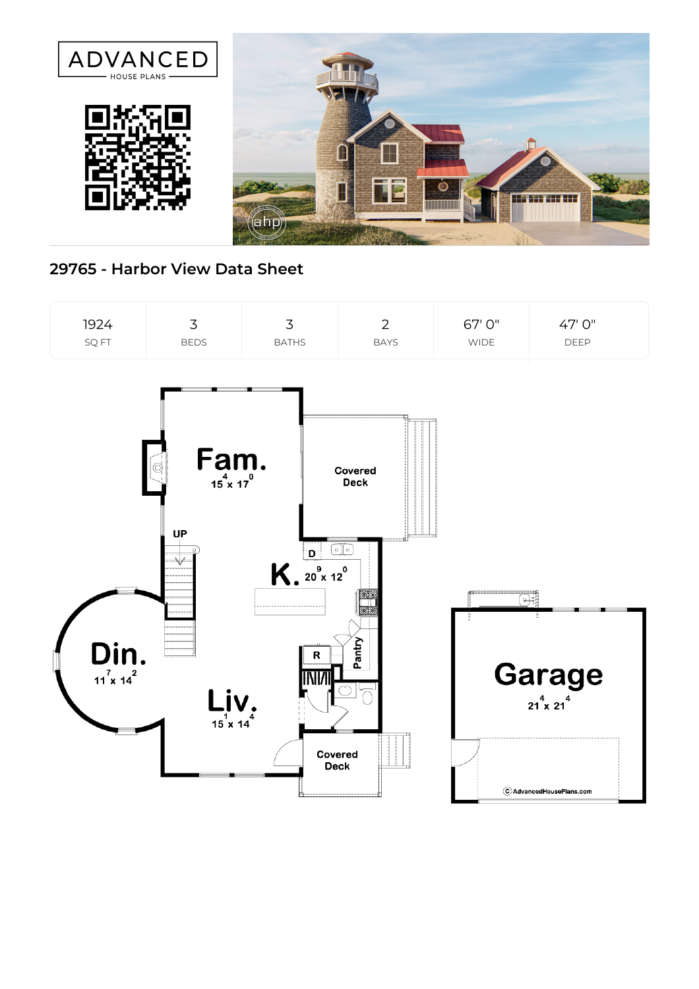

## **29765 - Harbor View Data Sheet**

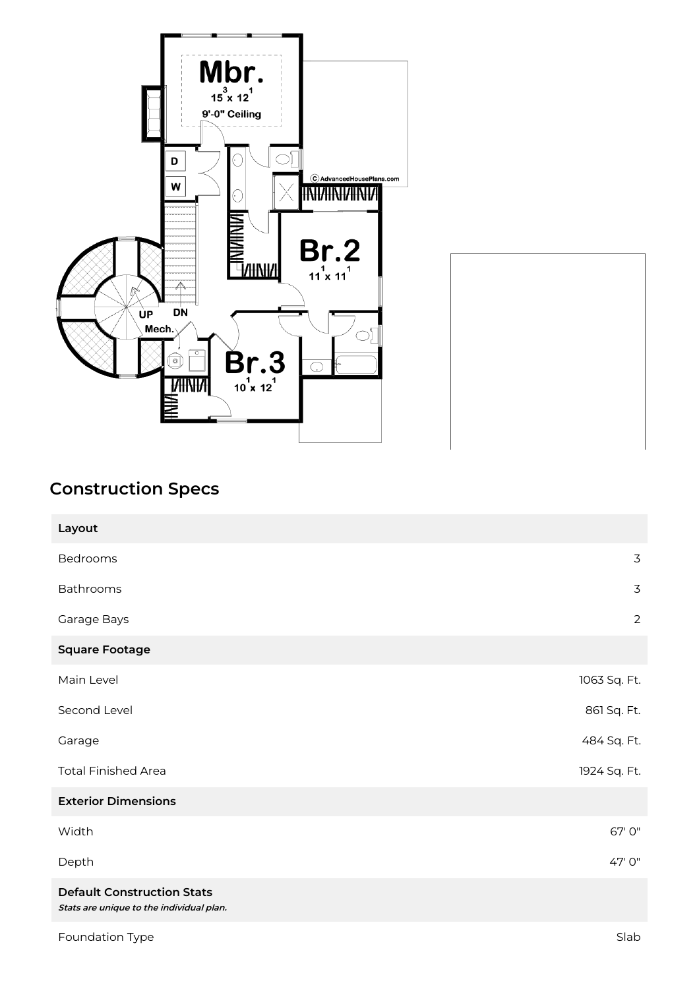

## **Construction Specs**

| Layout                                                                        |                |
|-------------------------------------------------------------------------------|----------------|
| Bedrooms                                                                      | 3              |
| Bathrooms                                                                     | 3              |
| Garage Bays                                                                   | $\overline{2}$ |
| <b>Square Footage</b>                                                         |                |
| Main Level                                                                    | 1063 Sq. Ft.   |
| Second Level                                                                  | 861 Sq. Ft.    |
| Garage                                                                        | 484 Sq. Ft.    |
| <b>Total Finished Area</b>                                                    | 1924 Sq. Ft.   |
| <b>Exterior Dimensions</b>                                                    |                |
| Width                                                                         | 67' 0"         |
| Depth                                                                         | 47' 0"         |
| <b>Default Construction Stats</b><br>Stats are unique to the individual plan. |                |